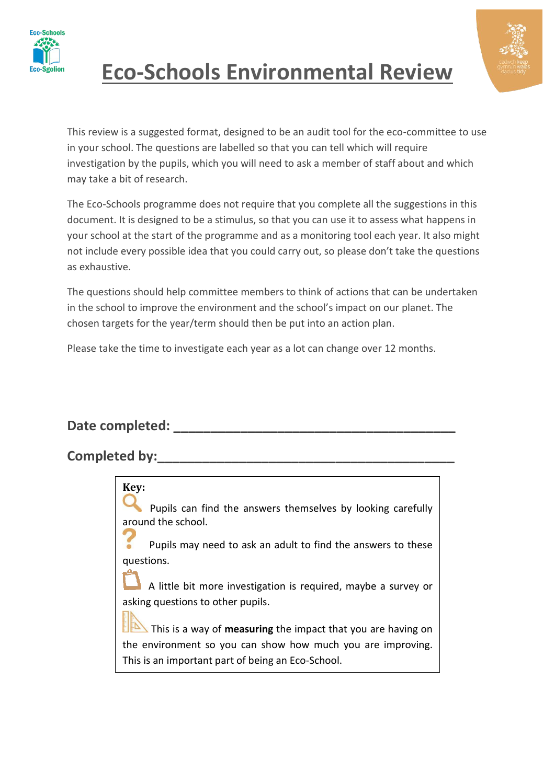



This review is a suggested format, designed to be an audit tool for the eco-committee to use in your school. The questions are labelled so that you can tell which will require investigation by the pupils, which you will need to ask a member of staff about and which may take a bit of research.

The Eco-Schools programme does not require that you complete all the suggestions in this document. It is designed to be a stimulus, so that you can use it to assess what happens in your school at the start of the programme and as a monitoring tool each year. It also might not include every possible idea that you could carry out, so please don't take the questions as exhaustive.

The questions should help committee members to think of actions that can be undertaken in the school to improve the environment and the school's impact on our planet. The chosen targets for the year/term should then be put into an action plan.

Please take the time to investigate each year as a lot can change over 12 months.

#### Date completed:

**Key:**

#### Completed by:

Pupils can find the answers themselves by looking carefully around the school.

 Pupils may need to ask an adult to find the answers to these questions.

 A little bit more investigation is required, maybe a survey or asking questions to other pupils.

This is a way of **measuring** the impact that you are having on the environment so you can show how much you are improving. This is an important part of being an Eco-School.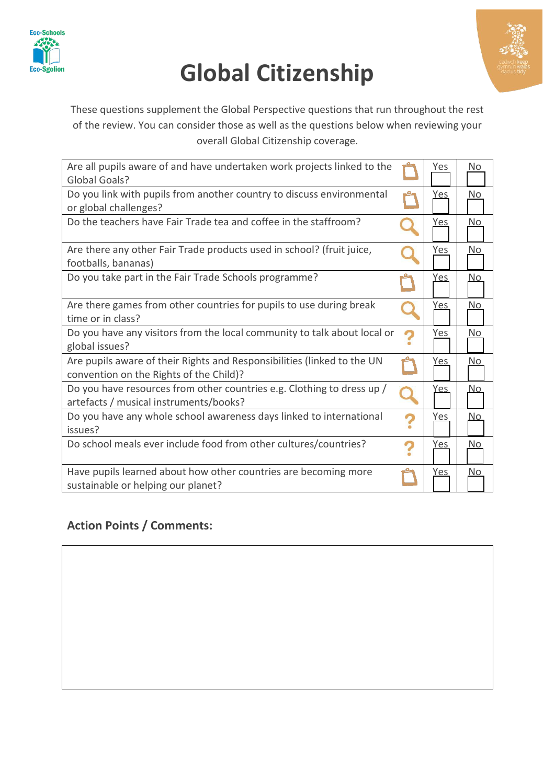

# **Global Citizenship**



These questions supplement the Global Perspective questions that run throughout the rest of the review. You can consider those as well as the questions below when reviewing your overall Global Citizenship coverage.

| Are all pupils aware of and have undertaken work projects linked to the<br>Global Goals?                           |              | Yes        | No        |
|--------------------------------------------------------------------------------------------------------------------|--------------|------------|-----------|
| Do you link with pupils from another country to discuss environmental<br>or global challenges?                     | يي.          | Yes        | No.       |
| Do the teachers have Fair Trade tea and coffee in the staffroom?                                                   |              | <u>Yes</u> | <u>No</u> |
| Are there any other Fair Trade products used in school? (fruit juice,<br>footballs, bananas)                       |              | Yes        | No.       |
| Do you take part in the Fair Trade Schools programme?                                                              |              | <u>Yes</u> | No.       |
| Are there games from other countries for pupils to use during break<br>time or in class?                           |              | <u>Yes</u> | No.       |
| Do you have any visitors from the local community to talk about local or<br>global issues?                         | 2            | Yes        | No.       |
| Are pupils aware of their Rights and Responsibilities (linked to the UN<br>convention on the Rights of the Child)? |              | Yes        | No.       |
| Do you have resources from other countries e.g. Clothing to dress up /<br>artefacts / musical instruments/books?   | $\mathbf{O}$ | <u>Yes</u> | No.       |
| Do you have any whole school awareness days linked to international<br>issues?                                     | ?            | Yes        | No.       |
| Do school meals ever include food from other cultures/countries?                                                   | ?            | <u>Yes</u> | No.       |
| Have pupils learned about how other countries are becoming more<br>sustainable or helping our planet?              |              | <u>Yes</u> | No.       |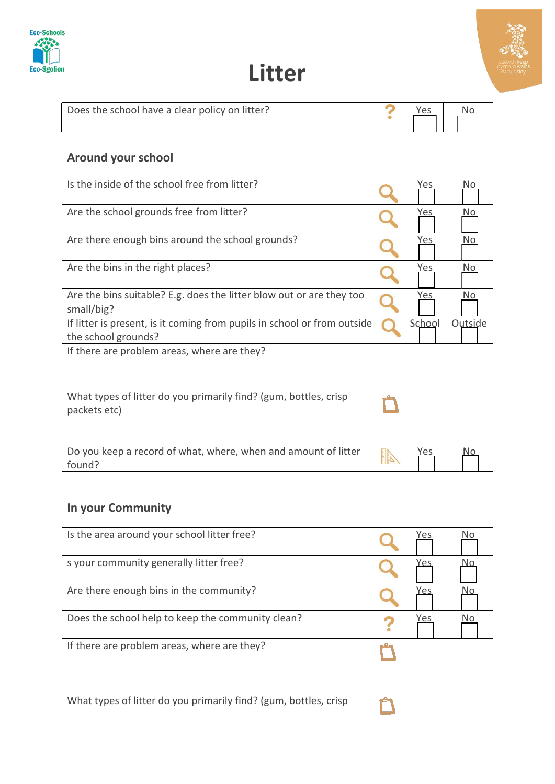



| Does the school have a clear policy on litter? | Yes | No |
|------------------------------------------------|-----|----|
|                                                |     |    |

#### **Around your school**

| Is the inside of the school free from litter?                                                   | Yes        | No.     |
|-------------------------------------------------------------------------------------------------|------------|---------|
| Are the school grounds free from litter?                                                        | Yes        | No.     |
| Are there enough bins around the school grounds?                                                | <u>Yes</u> | No.     |
| Are the bins in the right places?                                                               | Yes        | No.     |
| Are the bins suitable? E.g. does the litter blow out or are they too<br>small/big?              | Yes        | No.     |
| If litter is present, is it coming from pupils in school or from outside<br>the school grounds? | School     | Outside |
| If there are problem areas, where are they?                                                     |            |         |
| What types of litter do you primarily find? (gum, bottles, crisp<br>packets etc)                |            |         |
| Do you keep a record of what, where, when and amount of litter<br>found?                        | Yes        |         |

### **In your Community**

| Is the area around your school litter free?                      | Yes | No |
|------------------------------------------------------------------|-----|----|
| s your community generally litter free?                          | Yes |    |
| Are there enough bins in the community?                          | Yes | No |
| Does the school help to keep the community clean?                | Yes | No |
| If there are problem areas, where are they?                      |     |    |
| What types of litter do you primarily find? (gum, bottles, crisp |     |    |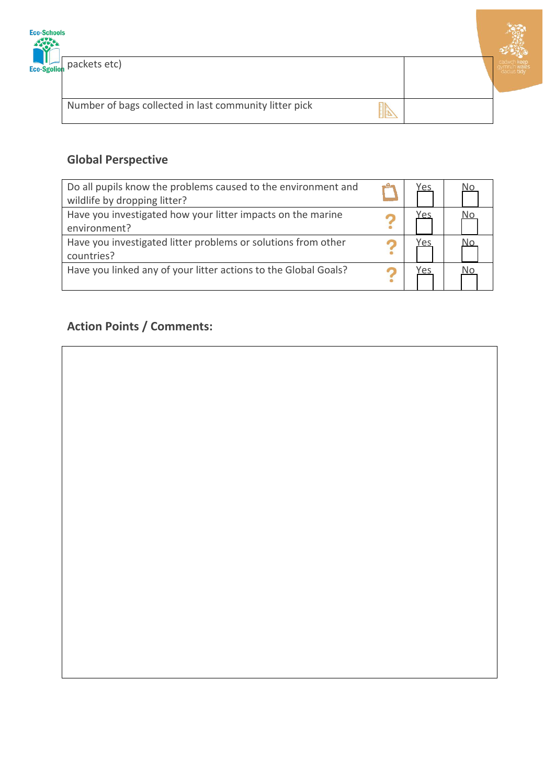



Number of bags collected in last community litter pick

### 

#### **Global Perspective**

| Do all pupils know the problems caused to the environment and<br>wildlife by dropping litter? | Yes | No |
|-----------------------------------------------------------------------------------------------|-----|----|
| Have you investigated how your litter impacts on the marine<br>environment?                   | Yes |    |
| Have you investigated litter problems or solutions from other<br>countries?                   | Yes | No |
| Have you linked any of your litter actions to the Global Goals?                               | Yes |    |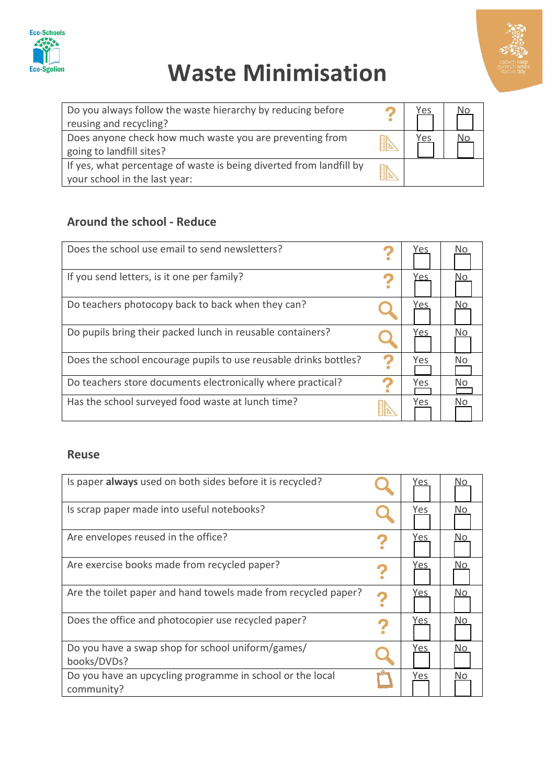

# **Waste Minimisation**



| Do you always follow the waste hierarchy by reducing before         | Yes |  |
|---------------------------------------------------------------------|-----|--|
| reusing and recycling?                                              |     |  |
| Does anyone check how much waste you are preventing from            | Yes |  |
| going to landfill sites?                                            |     |  |
| If yes, what percentage of waste is being diverted from landfill by |     |  |
| your school in the last year:                                       |     |  |

#### **Around the school - Reduce**

| Does the school use email to send newsletters?                   |   | Yes | No  |
|------------------------------------------------------------------|---|-----|-----|
| If you send letters, is it one per family?                       |   | Yes | No  |
| Do teachers photocopy back to back when they can?                |   | 'es |     |
| Do pupils bring their packed lunch in reusable containers?       |   | res | No. |
| Does the school encourage pupils to use reusable drinks bottles? | 2 | Yes | No. |
| Do teachers store documents electronically where practical?      |   | Yes | N٥  |
| Has the school surveyed food waste at lunch time?                |   | Yes | No  |

#### **Reuse**

| Is paper always used on both sides before it is recycled?               | res        |     |
|-------------------------------------------------------------------------|------------|-----|
| Is scrap paper made into useful notebooks?                              | Yes        | No. |
| Are envelopes reused in the office?                                     | <u>Yes</u> | Nο  |
| Are exercise books made from recycled paper?                            | Yes        | No. |
| Are the toilet paper and hand towels made from recycled paper?          | Yes        | No  |
| Does the office and photocopier use recycled paper?                     | Yes        | Νo  |
| Do you have a swap shop for school uniform/games/<br>books/DVDs?        | Yes        | Nο  |
| Do you have an upcycling programme in school or the local<br>community? | Yes        | Νo  |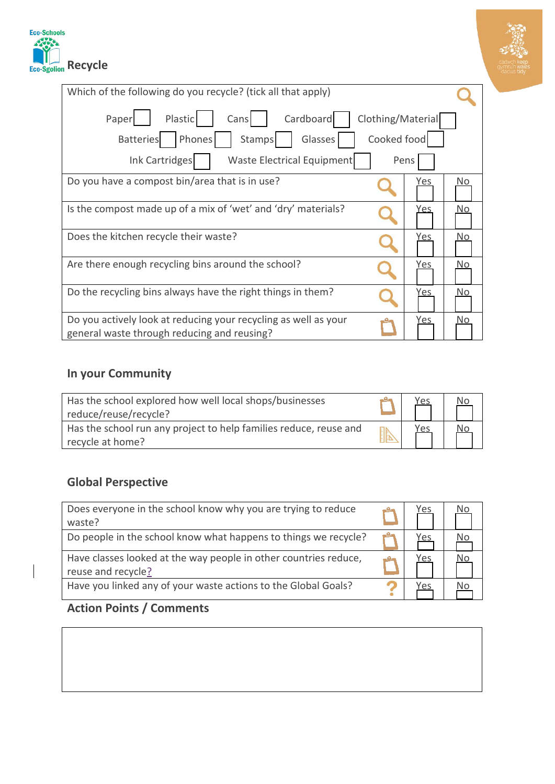



| Which of the following do you recycle? (tick all that apply)                                                                 |            |     |
|------------------------------------------------------------------------------------------------------------------------------|------------|-----|
| Cardboard<br>Plastic<br>Clothing/Material<br>Paper<br>Cans<br>Cooked food<br>Phones<br>Glasses<br><b>Batteries</b><br>Stamps |            |     |
| Ink Cartridges<br><b>Waste Electrical Equipment</b>                                                                          | Pens       |     |
| Do you have a compost bin/area that is in use?                                                                               | Yes        | No. |
| Is the compost made up of a mix of 'wet' and 'dry' materials?                                                                | Yes        | No. |
| Does the kitchen recycle their waste?                                                                                        | <u>Yes</u> | No. |
| Are there enough recycling bins around the school?                                                                           | Yes        | No. |
| Do the recycling bins always have the right things in them?                                                                  | Yes        | Nο  |
| Do you actively look at reducing your recycling as well as your<br>general waste through reducing and reusing?               | Yes        | No. |

#### **In your Community**

| Has the school explored how well local shops/businesses<br>reduce/reuse/recycle?      | <u>Yes</u> | Νo |  |
|---------------------------------------------------------------------------------------|------------|----|--|
| Has the school run any project to help families reduce, reuse and<br>recycle at home? | <u>Yes</u> |    |  |

#### **Global Perspective**

| Does everyone in the school know why you are trying to reduce<br>waste?                | Yes | No |
|----------------------------------------------------------------------------------------|-----|----|
| Do people in the school know what happens to things we recycle?                        | Yes | No |
| Have classes looked at the way people in other countries reduce,<br>reuse and recycle? | Yes | No |
| Have you linked any of your waste actions to the Global Goals?                         | Yes | No |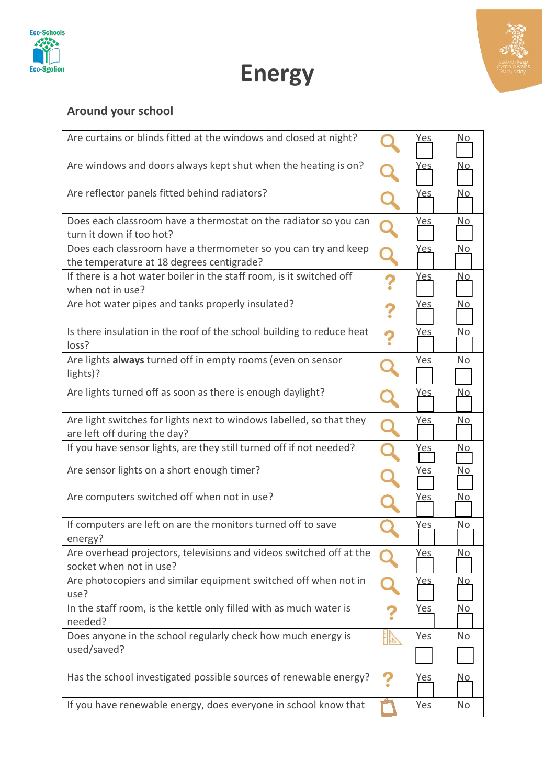



# **Energy**

#### **Around your school**

| Are curtains or blinds fitted at the windows and closed at night?                                           |              | <u>Yes</u> | <u>No</u>      |
|-------------------------------------------------------------------------------------------------------------|--------------|------------|----------------|
| Are windows and doors always kept shut when the heating is on?                                              |              | <u>Yes</u> | <u>No</u>      |
| Are reflector panels fitted behind radiators?                                                               |              | <u>Yes</u> | <u>No</u>      |
| Does each classroom have a thermostat on the radiator so you can<br>turn it down if too hot?                |              | <u>Yes</u> | <u>No</u>      |
| Does each classroom have a thermometer so you can try and keep<br>the temperature at 18 degrees centigrade? |              | <u>Yes</u> | <u>No</u>      |
| If there is a hot water boiler in the staff room, is it switched off<br>when not in use?                    | 7            | <u>Yes</u> | No             |
| Are hot water pipes and tanks properly insulated?                                                           | ?            | <u>Yes</u> | <u>No</u>      |
| Is there insulation in the roof of the school building to reduce heat<br>loss?                              | ?            | <u>Yes</u> | <u>No</u>      |
| Are lights always turned off in empty rooms (even on sensor<br>lights)?                                     |              | Yes        | <b>No</b>      |
| Are lights turned off as soon as there is enough daylight?                                                  |              | <u>Yes</u> | <u>No</u>      |
| Are light switches for lights next to windows labelled, so that they<br>are left off during the day?        |              | <u>Yes</u> | <u>No</u>      |
| If you have sensor lights, are they still turned off if not needed?                                         |              | <u>Yes</u> | <u>No</u>      |
| Are sensor lights on a short enough timer?                                                                  |              | Yes        | <u>No</u>      |
| Are computers switched off when not in use?                                                                 |              | <u>Yes</u> | <u>No</u>      |
| If computers are left on are the monitors turned off to save<br>energy?                                     |              | <u>Yes</u> | <u>No</u>      |
| Are overhead projectors, televisions and videos switched off at the<br>socket when not in use?              |              | <u>Yes</u> | <u>No</u>      |
| Are photocopiers and similar equipment switched off when not in<br>use?                                     |              | <u>Yes</u> | <u>No</u>      |
| In the staff room, is the kettle only filled with as much water is<br>needed?                               | 2            | <u>Yes</u> | <u>No</u>      |
| Does anyone in the school regularly check how much energy is<br>used/saved?                                 | $\mathbb{D}$ | Yes        | N <sub>o</sub> |
|                                                                                                             |              |            |                |
| Has the school investigated possible sources of renewable energy?                                           | 7            | <u>Yes</u> | <u>No</u>      |
| If you have renewable energy, does everyone in school know that                                             |              | Yes        | <b>No</b>      |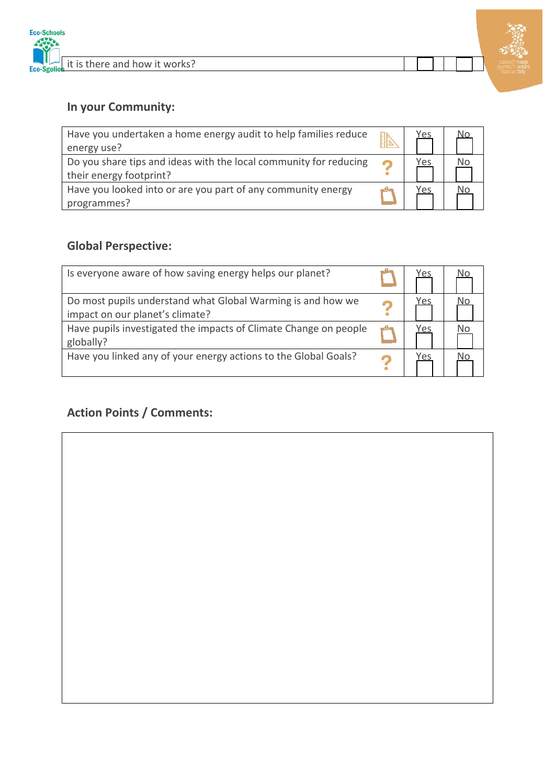

#### **In your Community:**

| Have you undertaken a home energy audit to help families reduce<br>energy use?               | Yes | No. |
|----------------------------------------------------------------------------------------------|-----|-----|
| Do you share tips and ideas with the local community for reducing<br>their energy footprint? | Yes | No  |
| Have you looked into or are you part of any community energy<br>programmes?                  | Yes | No  |

#### **Global Perspective:**

| Is everyone aware of how saving energy helps our planet?                                       | Yes |  |
|------------------------------------------------------------------------------------------------|-----|--|
| Do most pupils understand what Global Warming is and how we<br>impact on our planet's climate? | 'es |  |
| Have pupils investigated the impacts of Climate Change on people<br>globally?                  | Yes |  |
| Have you linked any of your energy actions to the Global Goals?                                | Yes |  |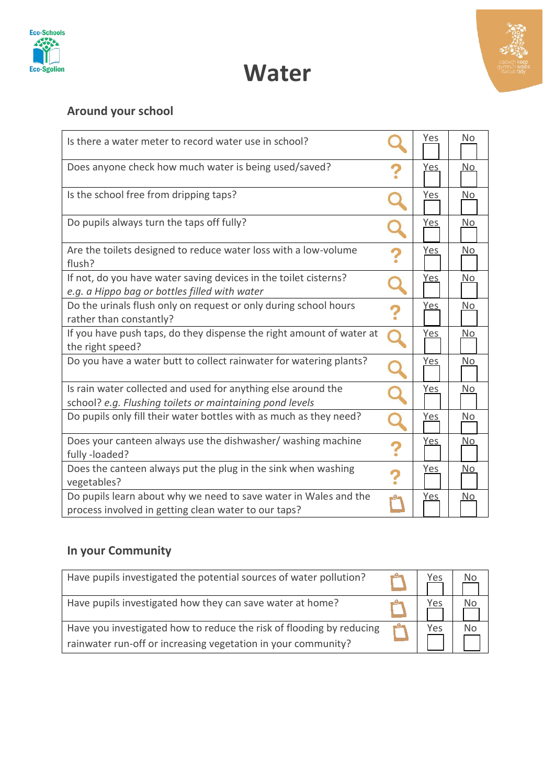



### **Water**

### **Around your school**

| Is there a water meter to record water use in school?                                                                     | Yes        | N <sub>o</sub> |
|---------------------------------------------------------------------------------------------------------------------------|------------|----------------|
| Does anyone check how much water is being used/saved?                                                                     | <u>Yes</u> | No             |
| Is the school free from dripping taps?                                                                                    | Yes        | <b>No</b>      |
| Do pupils always turn the taps off fully?                                                                                 | <u>Yes</u> | No             |
| Are the toilets designed to reduce water loss with a low-volume<br>flush?                                                 | <u>Yes</u> | <u>No</u>      |
| If not, do you have water saving devices in the toilet cisterns?<br>e.g. a Hippo bag or bottles filled with water         | <u>Yes</u> | No             |
| Do the urinals flush only on request or only during school hours<br>rather than constantly?                               | <u>Yes</u> | <u>No</u>      |
| If you have push taps, do they dispense the right amount of water at<br>the right speed?                                  | <u>Yes</u> | N <sub>o</sub> |
| Do you have a water butt to collect rainwater for watering plants?                                                        | <u>Yes</u> | No             |
| Is rain water collected and used for anything else around the<br>school? e.g. Flushing toilets or maintaining pond levels | <u>Yes</u> | No.            |
| Do pupils only fill their water bottles with as much as they need?                                                        | <u>Yes</u> | No             |
| Does your canteen always use the dishwasher/ washing machine<br>fully-loaded?                                             | <u>Yes</u> | <u>No</u>      |
| Does the canteen always put the plug in the sink when washing<br>vegetables?                                              | <u>Yes</u> | <u>No</u>      |
| Do pupils learn about why we need to save water in Wales and the<br>process involved in getting clean water to our taps?  | <u>Yes</u> | No             |

### **In your Community**

| Have pupils investigated the potential sources of water pollution?                                                                    | Yes | No |
|---------------------------------------------------------------------------------------------------------------------------------------|-----|----|
| Have pupils investigated how they can save water at home?                                                                             | Yes | No |
| Have you investigated how to reduce the risk of flooding by reducing<br>rainwater run-off or increasing vegetation in your community? | Yes | No |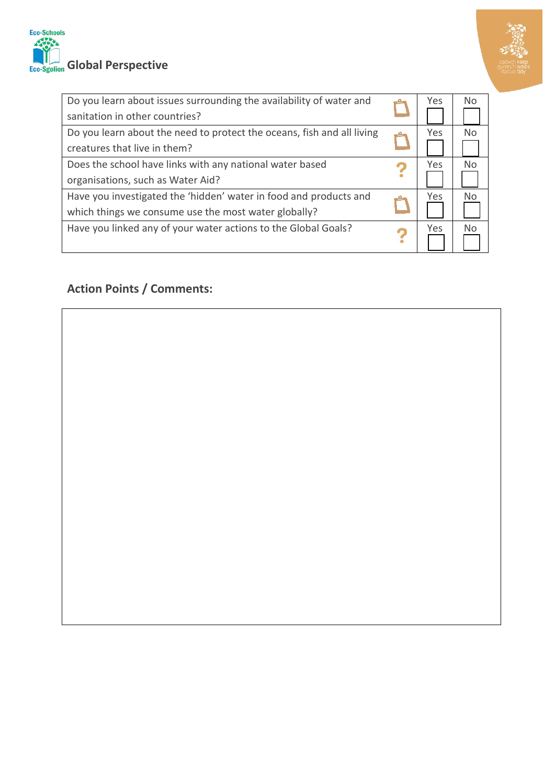



| Do you learn about issues surrounding the availability of water and    |  | Yes | N <sub>0</sub> |  |
|------------------------------------------------------------------------|--|-----|----------------|--|
| sanitation in other countries?                                         |  |     |                |  |
| Do you learn about the need to protect the oceans, fish and all living |  | Yes | No             |  |
| creatures that live in them?                                           |  |     |                |  |
| Does the school have links with any national water based               |  | Yes | No             |  |
| organisations, such as Water Aid?                                      |  |     |                |  |
| Have you investigated the 'hidden' water in food and products and      |  | Yes | N <sub>0</sub> |  |
| which things we consume use the most water globally?                   |  |     |                |  |
| Have you linked any of your water actions to the Global Goals?         |  | Yes | Nο             |  |
|                                                                        |  |     |                |  |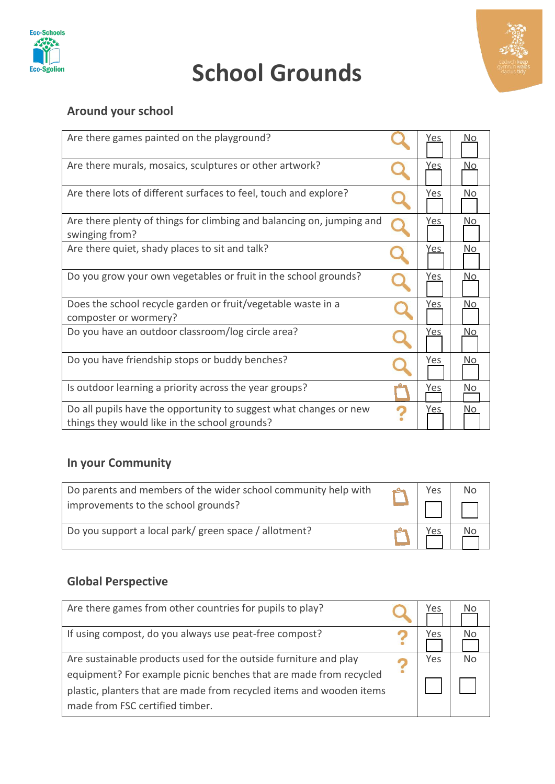

## **School Grounds**



#### **Around your school**

| Are there games painted on the playground?                                                                         | 'es        | No. |
|--------------------------------------------------------------------------------------------------------------------|------------|-----|
| Are there murals, mosaics, sculptures or other artwork?                                                            | <u>Yes</u> | No. |
| Are there lots of different surfaces to feel, touch and explore?                                                   | Yes        | No. |
| Are there plenty of things for climbing and balancing on, jumping and<br>swinging from?                            | Yes        | No. |
| Are there quiet, shady places to sit and talk?                                                                     | Yes        | No. |
| Do you grow your own vegetables or fruit in the school grounds?                                                    | Yes        | No. |
| Does the school recycle garden or fruit/vegetable waste in a<br>composter or wormery?                              | Yes        | No. |
| Do you have an outdoor classroom/log circle area?                                                                  | <u>Yes</u> | No. |
| Do you have friendship stops or buddy benches?                                                                     | Yes        | No. |
| Is outdoor learning a priority across the year groups?                                                             | Yes        | No. |
| Do all pupils have the opportunity to suggest what changes or new<br>things they would like in the school grounds? | Yes        | No. |

### **In your Community**

| Do parents and members of the wider school community help with<br>improvements to the school grounds? | Yes | No |
|-------------------------------------------------------------------------------------------------------|-----|----|
| Do you support a local park/ green space / allotment?                                                 |     |    |

#### **Global Perspective**

| Are there games from other countries for pupils to play?                                                                              | Yes | No. |
|---------------------------------------------------------------------------------------------------------------------------------------|-----|-----|
| If using compost, do you always use peat-free compost?                                                                                | Yes | No  |
| Are sustainable products used for the outside furniture and play<br>equipment? For example picnic benches that are made from recycled | Yes | Nο  |
| plastic, planters that are made from recycled items and wooden items<br>made from FSC certified timber.                               |     |     |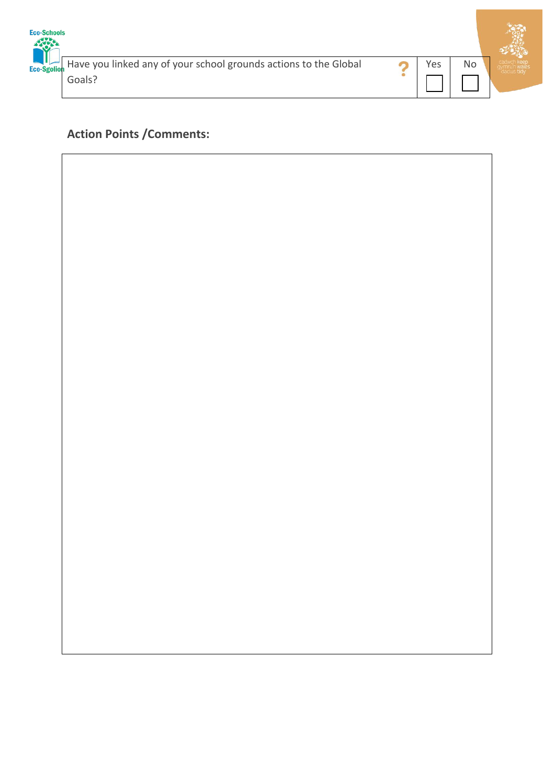

Have you linked any of your school grounds actions to the Global Goals?



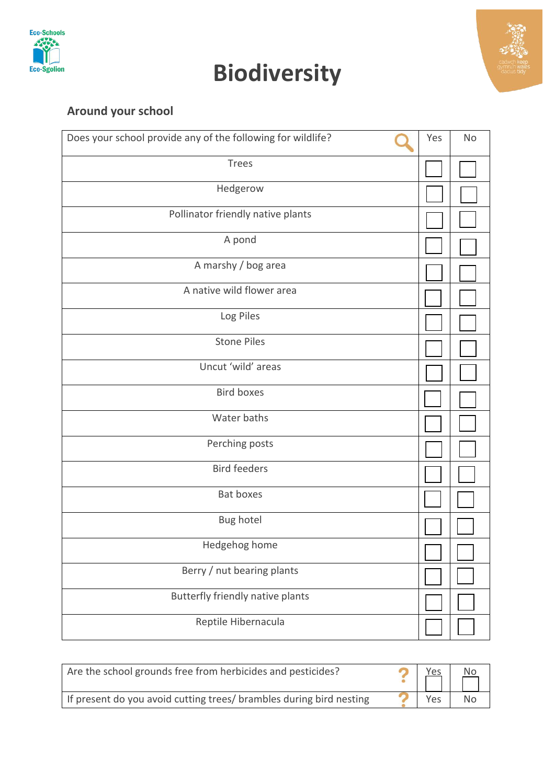

# **Biodiversity**



### **Around your school**

| Does your school provide any of the following for wildlife? | Yes | <b>No</b> |
|-------------------------------------------------------------|-----|-----------|
| <b>Trees</b>                                                |     |           |
| Hedgerow                                                    |     |           |
| Pollinator friendly native plants                           |     |           |
| A pond                                                      |     |           |
| A marshy / bog area                                         |     |           |
| A native wild flower area                                   |     |           |
| Log Piles                                                   |     |           |
| <b>Stone Piles</b>                                          |     |           |
| Uncut 'wild' areas                                          |     |           |
| <b>Bird boxes</b>                                           |     |           |
| Water baths                                                 |     |           |
| Perching posts                                              |     |           |
| <b>Bird feeders</b>                                         |     |           |
| Bat boxes                                                   |     |           |
| Bug hotel                                                   |     |           |
| Hedgehog home                                               |     |           |
| Berry / nut bearing plants                                  |     |           |
| Butterfly friendly native plants                            |     |           |
| Reptile Hibernacula                                         |     |           |

| Are the school grounds free from herbicides and pesticides?         | <u>Yes</u> | N <sub>O</sub> |
|---------------------------------------------------------------------|------------|----------------|
| If present do you avoid cutting trees/ brambles during bird nesting | Yes        | No.            |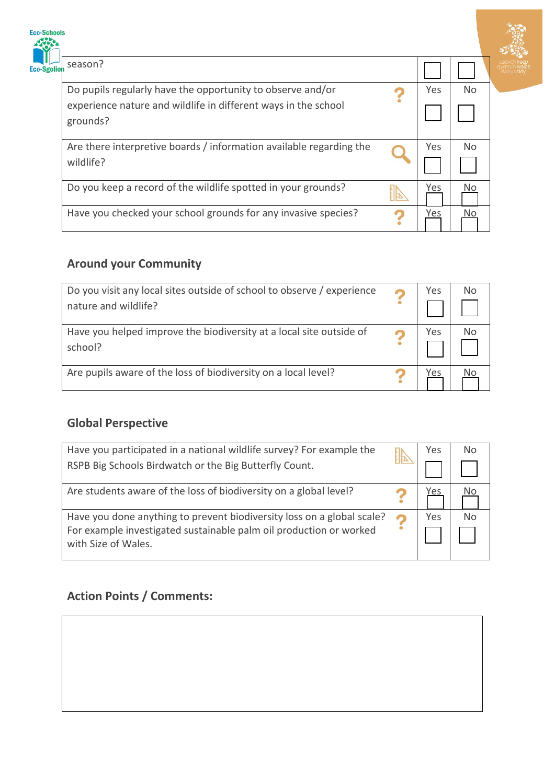| <b>Eco-Schools</b> |                                                                                  |     |                | $\mathbf{z}$ |
|--------------------|----------------------------------------------------------------------------------|-----|----------------|--------------|
| Eco-Sgolior        | season?                                                                          |     |                |              |
|                    | Do pupils regularly have the opportunity to observe and/or                       | Yes | N <sub>o</sub> |              |
|                    | experience nature and wildlife in different ways in the school<br>grounds?       |     |                |              |
|                    | Are there interpretive boards / information available regarding the<br>wildlife? | Yes | N <sub>o</sub> |              |
|                    | Do you keep a record of the wildlife spotted in your grounds?                    | Yes | No.            |              |
|                    | Have you checked your school grounds for any invasive species?                   | Yes | No.            |              |

**CONTROL**<br>CONTROL RECEPTION WATERS

#### **Around your Community**

| Do you visit any local sites outside of school to observe / experience<br>nature and wildlife? | Yes | <b>No</b> |
|------------------------------------------------------------------------------------------------|-----|-----------|
| Have you helped improve the biodiversity at a local site outside of<br>school?                 | Yes | No        |
| Are pupils aware of the loss of biodiversity on a local level?                                 | Yes |           |

#### **Global Perspective**

| Have you participated in a national wildlife survey? For example the                                                                                                | Yes | N <sub>0</sub> |
|---------------------------------------------------------------------------------------------------------------------------------------------------------------------|-----|----------------|
| RSPB Big Schools Birdwatch or the Big Butterfly Count.                                                                                                              |     |                |
| Are students aware of the loss of biodiversity on a global level?                                                                                                   | Yes |                |
| Have you done anything to prevent biodiversity loss on a global scale?<br>For example investigated sustainable palm oil production or worked<br>with Size of Wales. | Yes | No             |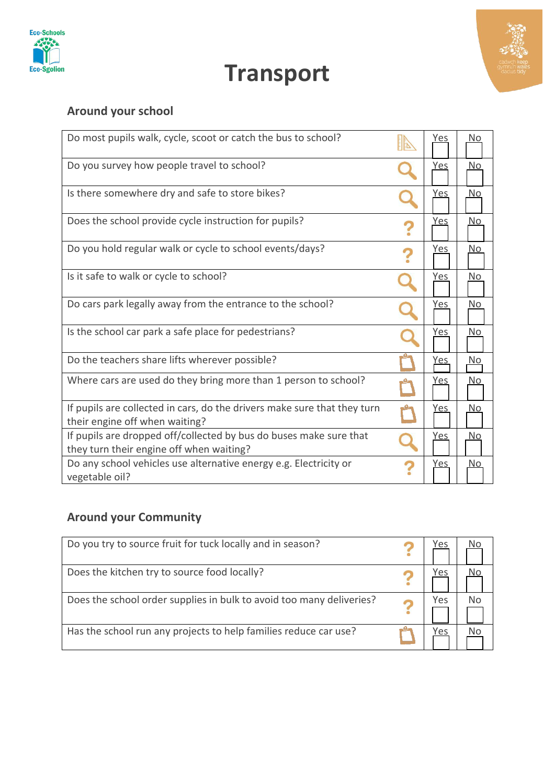

**Transport**



### **Around your school**

| Do most pupils walk, cycle, scoot or catch the bus to school?                                              | IN | <u>Yes</u> | <u>No</u>      |
|------------------------------------------------------------------------------------------------------------|----|------------|----------------|
| Do you survey how people travel to school?                                                                 |    | <u>Yes</u> | No.            |
| Is there somewhere dry and safe to store bikes?                                                            |    | <u>Yes</u> | No.            |
| Does the school provide cycle instruction for pupils?                                                      |    | <u>Yes</u> | No.            |
| Do you hold regular walk or cycle to school events/days?                                                   |    | Yes        | No.            |
| Is it safe to walk or cycle to school?                                                                     |    | Yes        | No.            |
| Do cars park legally away from the entrance to the school?                                                 |    | <u>Yes</u> | <u>No</u>      |
| Is the school car park a safe place for pedestrians?                                                       |    | <u>Yes</u> | N <sub>o</sub> |
| Do the teachers share lifts wherever possible?                                                             |    | <u>Yes</u> | <u>No</u>      |
| Where cars are used do they bring more than 1 person to school?                                            |    | <u>Yes</u> | No.            |
| If pupils are collected in cars, do the drivers make sure that they turn<br>their engine off when waiting? |    | <u>Yes</u> | <u>No</u>      |
| If pupils are dropped off/collected by bus do buses make sure that                                         |    | <u>Yes</u> | No.            |
| they turn their engine off when waiting?                                                                   |    |            |                |
| Do any school vehicles use alternative energy e.g. Electricity or<br>vegetable oil?                        |    | <u>Yes</u> | No.            |

#### **Around your Community**

| Do you try to source fruit for tuck locally and in season?           | 'es |  |
|----------------------------------------------------------------------|-----|--|
| Does the kitchen try to source food locally?                         | 'es |  |
| Does the school order supplies in bulk to avoid too many deliveries? | 'es |  |
| Has the school run any projects to help families reduce car use?     | /es |  |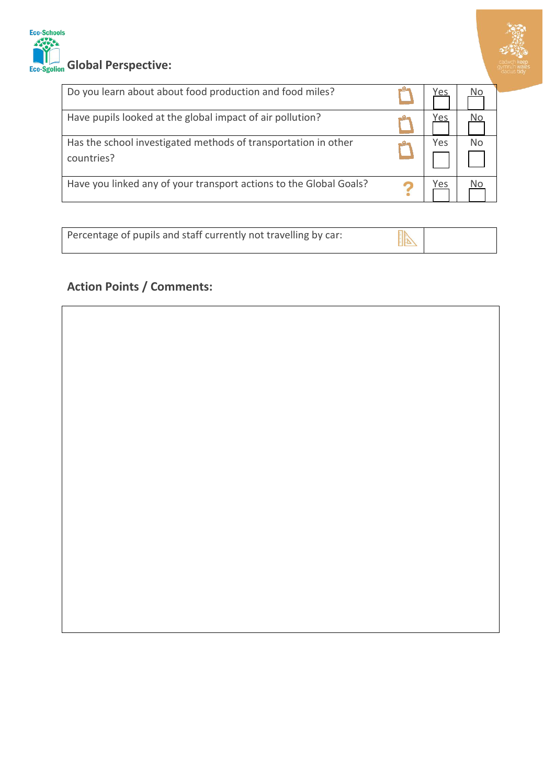

### Eco-Schools Eco-Sgolion Global Perspective:

| Do you learn about about food production and food miles?                     | 'es |    |
|------------------------------------------------------------------------------|-----|----|
| Have pupils looked at the global impact of air pollution?                    | 'es |    |
| Has the school investigated methods of transportation in other<br>countries? | Yes | N٥ |
| Have you linked any of your transport actions to the Global Goals?           | 'es |    |

| Percentage of pupils and staff currently not travelling by car: |  |
|-----------------------------------------------------------------|--|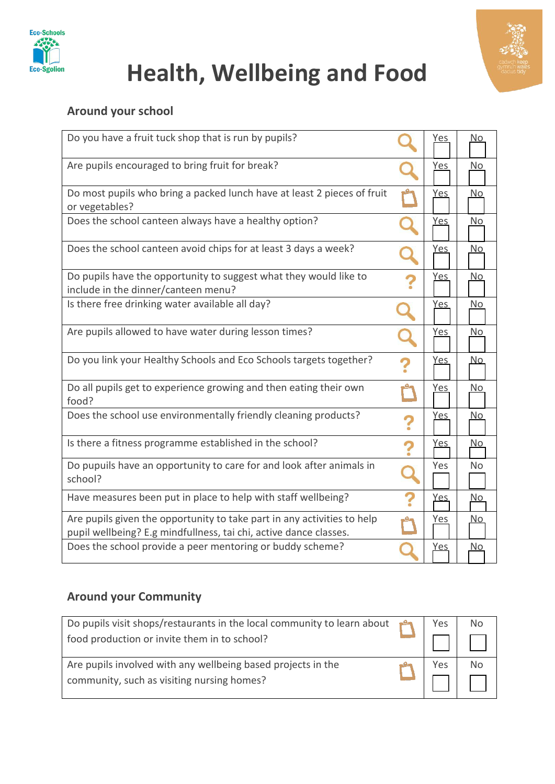

# **Health, Wellbeing and Food**

#### **Around your school**

| Do you have a fruit tuck shop that is run by pupils?                                                                                         |   | <u>Yes</u>  | <u>No</u>      |
|----------------------------------------------------------------------------------------------------------------------------------------------|---|-------------|----------------|
| Are pupils encouraged to bring fruit for break?                                                                                              |   | <u>Yes</u>  | No             |
| Do most pupils who bring a packed lunch have at least 2 pieces of fruit<br>or vegetables?                                                    |   | <u>Yes</u>  | <u>No</u>      |
| Does the school canteen always have a healthy option?                                                                                        |   | <u>Yes</u>  | No             |
| Does the school canteen avoid chips for at least 3 days a week?                                                                              |   | <u>Yes</u>  | <u>No</u>      |
| Do pupils have the opportunity to suggest what they would like to<br>include in the dinner/canteen menu?                                     |   | <u>Yes</u>  | <u>No</u>      |
| Is there free drinking water available all day?                                                                                              |   | <u>Yes</u>  | No             |
| Are pupils allowed to have water during lesson times?                                                                                        |   | <u>Yes</u>  | No             |
| Do you link your Healthy Schools and Eco Schools targets together?                                                                           |   | <u>Yes</u>  | <u>No</u>      |
| Do all pupils get to experience growing and then eating their own<br>food?                                                                   |   | <u>Yes</u>  | No             |
| Does the school use environmentally friendly cleaning products?                                                                              | ? | <u>Yes</u>  | <u>No</u>      |
| Is there a fitness programme established in the school?                                                                                      | ? | <u>Yes</u>  | <u>No</u>      |
| Do pupuils have an opportunity to care for and look after animals in<br>school?                                                              |   | Yes         | N <sub>o</sub> |
| Have measures been put in place to help with staff wellbeing?                                                                                |   | <u>Yes,</u> | <u>No</u>      |
| Are pupils given the opportunity to take part in any activities to help<br>pupil wellbeing? E.g mindfullness, tai chi, active dance classes. |   | Yes         | <u>No</u>      |
| Does the school provide a peer mentoring or buddy scheme?                                                                                    |   | <u>Yes</u>  | <u>No</u>      |

#### **Around your Community**

| Do pupils visit shops/restaurants in the local community to learn about $\begin{bmatrix} 0 \\ 1 \end{bmatrix}$<br>food production or invite them in to school? | Yes |  |
|----------------------------------------------------------------------------------------------------------------------------------------------------------------|-----|--|
| Are pupils involved with any wellbeing based projects in the<br>community, such as visiting nursing homes?                                                     | Yes |  |